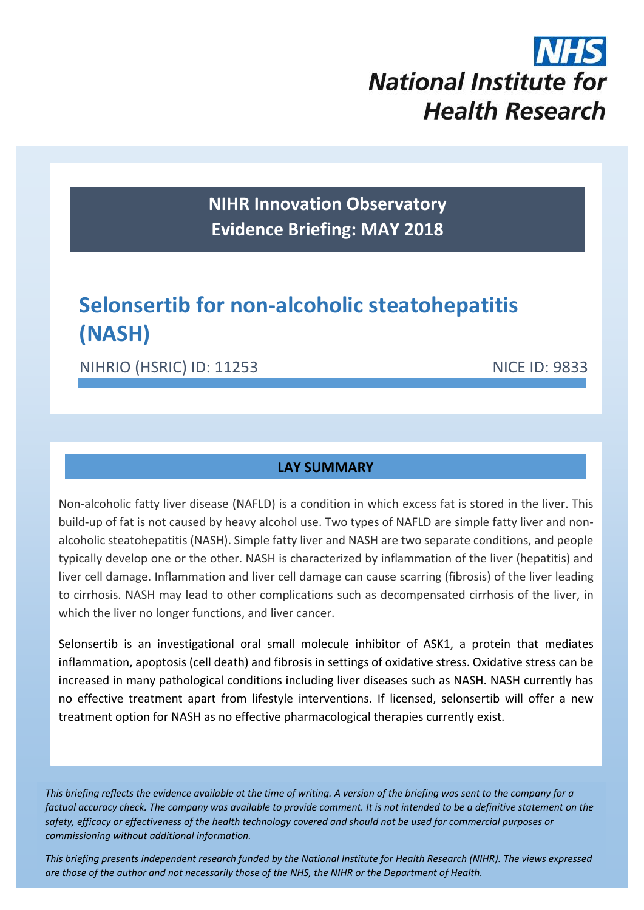

**NIHR Innovation Observatory Evidence Briefing: MAY 2018**

# **Selonsertib for non-alcoholic steatohepatitis (NASH)**

NIHRIO (HSRIC) ID: 11253 NICE ID: 9833

## **LAY SUMMARY**

Non-alcoholic fatty liver disease (NAFLD) is a condition in which excess fat is stored in the liver. This build-up of fat is not caused by heavy alcohol use. Two types of NAFLD are simple fatty liver and nonalcoholic steatohepatitis (NASH). Simple fatty liver and NASH are two separate conditions, and people typically develop one or the other. NASH is characterized by inflammation of the liver (hepatitis) and liver cell damage. Inflammation and liver cell damage can cause scarring (fibrosis) of the liver leading to cirrhosis. NASH may lead to other complications such as decompensated cirrhosis of the liver, in which the liver no longer functions, and liver cancer.

Selonsertib is an investigational oral small molecule inhibitor of ASK1, a protein that mediates inflammation, apoptosis (cell death) and fibrosis in settings of oxidative stress. Oxidative stress can be increased in many pathological conditions including liver diseases such as NASH. NASH currently has no effective treatment apart from lifestyle interventions. If licensed, selonsertib will offer a new treatment option for NASH as no effective pharmacological therapies currently exist.

*This briefing reflects the evidence available at the time of writing. A version of the briefing was sent to the company for a factual accuracy check. The company was available to provide comment. It is not intended to be a definitive statement on the safety, efficacy or effectiveness of the health technology covered and should not be used for commercial purposes or commissioning without additional information.*

1 *This briefing presents independent research funded by the National Institute for Health Research (NIHR). The views expressed are those of the author and not necessarily those of the NHS, the NIHR or the Department of Health.*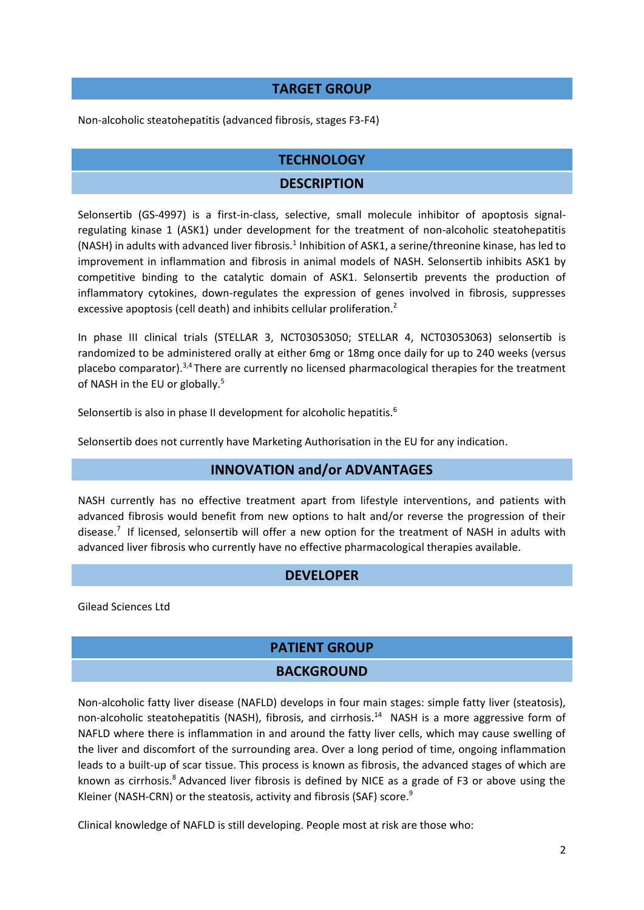#### **TARGET GROUP**

Non-alcoholic steatohepatitis (advanced fibrosis, stages F3-F4)

#### **TECHNOLOGY**

#### **DESCRIPTION**

Selonsertib (GS-4997) is a first-in-class, selective, small molecule inhibitor of apoptosis signalregulating kinase 1 (ASK1) under development for the treatment of non-alcoholic steatohepatitis (NASH) in adults with advanced liver fibrosis.<sup>1</sup> Inhibition of ASK1, a serine/threonine kinase, has led to improvement in inflammation and fibrosis in animal models of NASH. Selonsertib inhibits ASK1 by competitive binding to the catalytic domain of ASK1. Selonsertib prevents the production of inflammatory cytokines, down-regulates the expression of genes involved in fibrosis, suppresses excessive apoptosis (cell death) and inhibits cellular proliferation.<sup>2</sup>

In phase III clinical trials (STELLAR 3, NCT03053050; STELLAR 4, NCT03053063) selonsertib is randomized to be administered orally at either 6mg or 18mg once daily for up to 240 weeks (versus placebo comparator).<sup>3,4</sup> There are currently no licensed pharmacological therapies for the treatment of NASH in the EU or globally.<sup>5</sup>

Selonsertib is also in phase II development for alcoholic hepatitis.<sup>6</sup>

Selonsertib does not currently have Marketing Authorisation in the EU for any indication.

#### <span id="page-1-4"></span><span id="page-1-3"></span><span id="page-1-2"></span>**INNOVATION and/or ADVANTAGES**

NASH currently has no effective treatment apart from lifestyle interventions, and patients with advanced fibrosis would benefit from new options to halt and/or reverse the progression of their disease.<sup>7</sup> If licensed, selonsertib will offer a new option for the treatment of NASH in adults with advanced liver fibrosis who currently have no effective pharmacological therapies available.

#### **DEVELOPER**

Gilead Sciences Ltd

# **PATIENT GROUP**

#### <span id="page-1-1"></span>**BACKGROUND**

Non-alcoholic fatty liver disease (NAFLD) develops in four main stages: simple fatty liver (steatosis), non-alcoholic steatohepatitis (NASH), fibrosis, and cirrhosis.<sup>[14](#page-3-0)</sup> NASH is a more aggressive form of NAFLD where there is inflammation in and around the fatty liver cells, which may cause swelling of the liver and discomfort of the surrounding area. Over a long period of time, ongoing inflammation leads to a built-up of scar tissue. This process is known as fibrosis, the advanced stages of which are known as cirrhosis. <sup>8</sup> Advanced liver fibrosis is defined by NICE as a grade of F3 or above using the Kleiner (NASH-CRN) or the steatosis, activity and fibrosis (SAF) score.<sup>9</sup>

<span id="page-1-0"></span>Clinical knowledge of NAFLD is still developing. People most at risk are those who: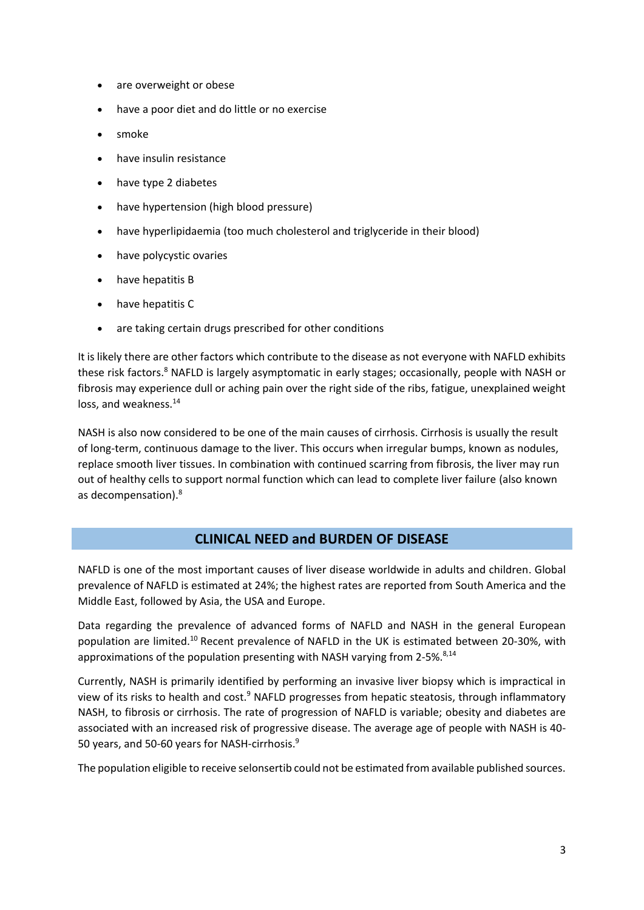- are overweight or obese
- have a poor diet and do little or no exercise
- smoke
- have insulin resistance
- have type 2 diabetes
- have hypertension (high blood pressure)
- have hyperlipidaemia (too much cholesterol and triglyceride in their blood)
- have polycystic ovaries
- have hepatitis B
- have hepatitis C
- are taking certain drugs prescribed for other conditions

It is likely there are other factors which contribute to the disease as not everyone with NAFLD exhibits these risk factors[.](#page-1-0)<sup>8</sup> NAFLD is largely asymptomatic in early stages; occasionally, people with NASH or fibrosis may experience dull or aching pain over the right side of the ribs, fatigue, unexplained weight loss, and weakness.<sup>[14](#page-3-0)</sup>

NASH is also now considered to be one of the main causes of cirrhosis. Cirrhosis is usually the result of long-term, continuous damage to the liver. This occurs when irregular bumps, known as nodules, replace smooth liver tissues. In combination with continued scarring from fibrosis, the liver may run out of healthy cells to support normal function which can lead to complete liver failure (also known as decompensation). [8](#page-1-0)

#### **CLINICAL NEED and BURDEN OF DISEASE**

NAFLD is one of the most important causes of liver disease worldwide in adults and children. Global prevalence of NAFLD is estimated at 24%; the highest rates are reported from South America and the Middle East, followed by Asia, the USA and Europe.

Data regarding the prevalence of advanced forms of NAFLD and NASH in the general European population are limited.<sup>10</sup> Recent prevalence of NAFLD in the UK is estimated between 20-30%, with approximations of the population presenting with NASH varying from 2-5%.<sup>[8,](#page-1-0)[14](#page-3-0)</sup>

Currently, NASH is primarily identified by performing an invasive liver biopsy which is impractical in view of its risks to health and cost.<sup>[9](#page-1-1)</sup> NAFLD progresses from hepatic steatosis, through inflammatory NASH, to fibrosis or cirrhosis. The rate of progression of NAFLD is variable; obesity and diabetes are associated with an increased risk of progressive disease. The average age of people with NASH is 40- 50 years, and 50-60 years for NASH-cirrhosis.<sup>[9](#page-1-1)</sup>

The population eligible to receive selonsertib could not be estimated from available published sources.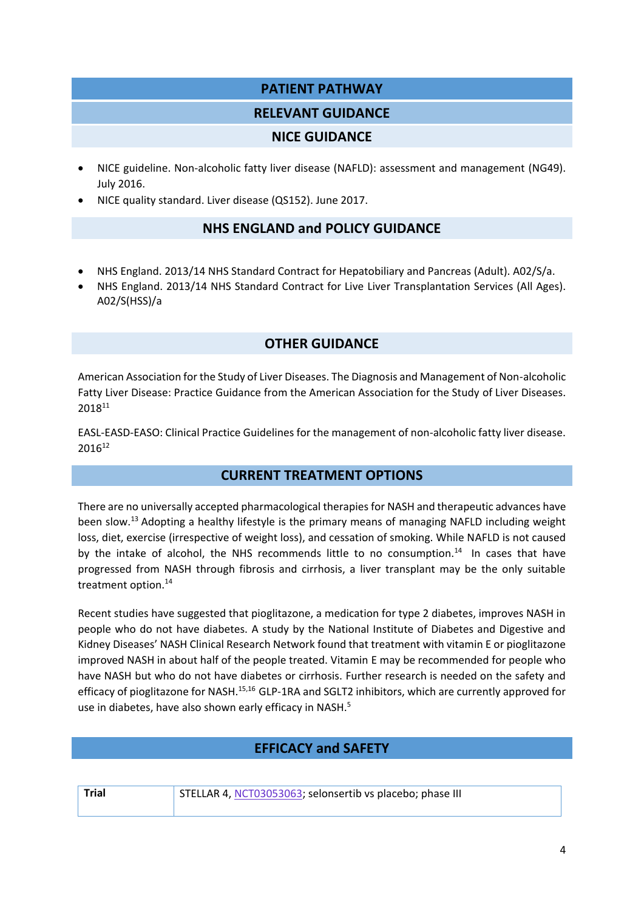## **PATIENT PATHWAY**

#### **RELEVANT GUIDANCE**

#### **NICE GUIDANCE**

- NICE guideline. Non-alcoholic fatty liver disease (NAFLD): assessment and management (NG49). July 2016.
- NICE quality standard. Liver disease (QS152). June 2017.

#### **NHS ENGLAND and POLICY GUIDANCE**

- NHS England. 2013/14 NHS Standard Contract for Hepatobiliary and Pancreas (Adult). A02/S/a.
- NHS England. 2013/14 NHS Standard Contract for Live Liver Transplantation Services (All Ages). A02/S(HSS)/a

## **OTHER GUIDANCE**

American Association for the Study of Liver Diseases. The Diagnosis and Management of Non-alcoholic Fatty Liver Disease: Practice Guidance from the American Association for the Study of Liver Diseases. 2018<sup>11</sup>

EASL-EASD-EASO: Clinical Practice Guidelines for the management of non-alcoholic fatty liver disease. 2016<sup>12</sup>

# **CURRENT TREATMENT OPTIONS**

There are no universally accepted pharmacological therapies for NASH and therapeutic advances have been slow.<sup>13</sup> Adopting a healthy lifestyle is the primary means of managing NAFLD including weight loss, diet, exercise (irrespective of weight loss), and cessation of smoking. While NAFLD is not caused by the intake of alcohol, the NHS recommends little to no consumption.<sup>[14](#page-3-0)</sup> In cases that have progressed from NASH through fibrosis and cirrhosis, a liver transplant may be the only suitable treatment option.<sup>14</sup>

<span id="page-3-0"></span>Recent studies have suggested that pioglitazone, a medication for type 2 diabetes, improves NASH in people who do not have diabetes. A study by the National Institute of Diabetes and Digestive and Kidney Diseases' NASH Clinical Research Network found that treatment with vitamin E or pioglitazone improved NASH in about half of the people treated. Vitamin E may be recommended for people who have NASH but who do not have diabetes or cirrhosis. Further research is needed on the safety and efficacy of pioglitazone for NASH.<sup>15,16</sup> GLP-1RA and SGLT2 inhibitors, which are currently approved for use in diabetes, have also shown early efficacy in NASH.<sup>[5](#page-1-2)</sup>

# **EFFICACY and SAFETY**

| w<br>. . |  |
|----------|--|

**Trial** STELLAR 4[, NCT03053063;](https://clinicaltrials.gov/ct2/show/NCT03053063) selonsertib vs placebo; phase III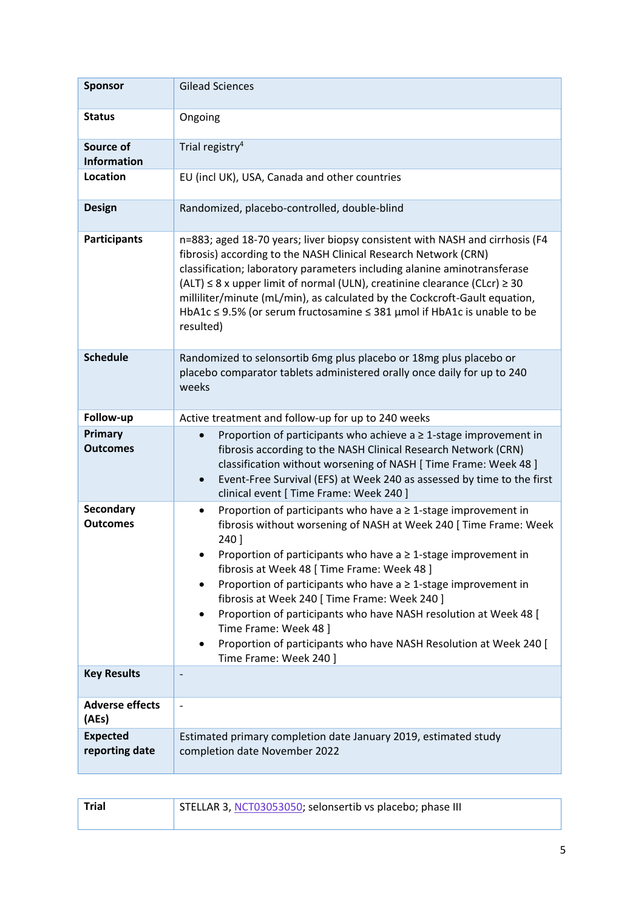| <b>Sponsor</b>                    | <b>Gilead Sciences</b>                                                                                                                                                                                                                                                                                                                                                                                                                                                                                                                                                                                  |  |
|-----------------------------------|---------------------------------------------------------------------------------------------------------------------------------------------------------------------------------------------------------------------------------------------------------------------------------------------------------------------------------------------------------------------------------------------------------------------------------------------------------------------------------------------------------------------------------------------------------------------------------------------------------|--|
| <b>Status</b>                     | Ongoing                                                                                                                                                                                                                                                                                                                                                                                                                                                                                                                                                                                                 |  |
| Source of<br><b>Information</b>   | Trial registry <sup>4</sup>                                                                                                                                                                                                                                                                                                                                                                                                                                                                                                                                                                             |  |
| Location                          | EU (incl UK), USA, Canada and other countries                                                                                                                                                                                                                                                                                                                                                                                                                                                                                                                                                           |  |
| <b>Design</b>                     | Randomized, placebo-controlled, double-blind                                                                                                                                                                                                                                                                                                                                                                                                                                                                                                                                                            |  |
| <b>Participants</b>               | n=883; aged 18-70 years; liver biopsy consistent with NASH and cirrhosis (F4<br>fibrosis) according to the NASH Clinical Research Network (CRN)<br>classification; laboratory parameters including alanine aminotransferase<br>$(ALT) \leq 8$ x upper limit of normal (ULN), creatinine clearance (CLcr) $\geq 30$<br>milliliter/minute (mL/min), as calculated by the Cockcroft-Gault equation,<br>HbA1c $\leq$ 9.5% (or serum fructosamine $\leq$ 381 µmol if HbA1c is unable to be<br>resulted)                                                                                                      |  |
| <b>Schedule</b>                   | Randomized to selonsortib 6mg plus placebo or 18mg plus placebo or<br>placebo comparator tablets administered orally once daily for up to 240<br>weeks                                                                                                                                                                                                                                                                                                                                                                                                                                                  |  |
| Follow-up                         | Active treatment and follow-up for up to 240 weeks                                                                                                                                                                                                                                                                                                                                                                                                                                                                                                                                                      |  |
| Primary<br><b>Outcomes</b>        | Proportion of participants who achieve $a \geq 1$ -stage improvement in<br>fibrosis according to the NASH Clinical Research Network (CRN)<br>classification without worsening of NASH [ Time Frame: Week 48 ]<br>Event-Free Survival (EFS) at Week 240 as assessed by time to the first<br>$\bullet$<br>clinical event [ Time Frame: Week 240 ]                                                                                                                                                                                                                                                         |  |
| Secondary<br><b>Outcomes</b>      | Proportion of participants who have $a \ge 1$ -stage improvement in<br>$\bullet$<br>fibrosis without worsening of NASH at Week 240 [Time Frame: Week<br>240 ]<br>Proportion of participants who have $a \ge 1$ -stage improvement in<br>fibrosis at Week 48 [ Time Frame: Week 48 ]<br>Proportion of participants who have $a \ge 1$ -stage improvement in<br>fibrosis at Week 240 [ Time Frame: Week 240 ]<br>Proportion of participants who have NASH resolution at Week 48 [<br>Time Frame: Week 48 ]<br>Proportion of participants who have NASH Resolution at Week 240 [<br>Time Frame: Week 240 ] |  |
| <b>Key Results</b>                |                                                                                                                                                                                                                                                                                                                                                                                                                                                                                                                                                                                                         |  |
| <b>Adverse effects</b><br>(AEs)   |                                                                                                                                                                                                                                                                                                                                                                                                                                                                                                                                                                                                         |  |
| <b>Expected</b><br>reporting date | Estimated primary completion date January 2019, estimated study<br>completion date November 2022                                                                                                                                                                                                                                                                                                                                                                                                                                                                                                        |  |

| <b>Trial</b> | STELLAR 3, NCT03053050; selonsertib vs placebo; phase III |
|--------------|-----------------------------------------------------------|
|              |                                                           |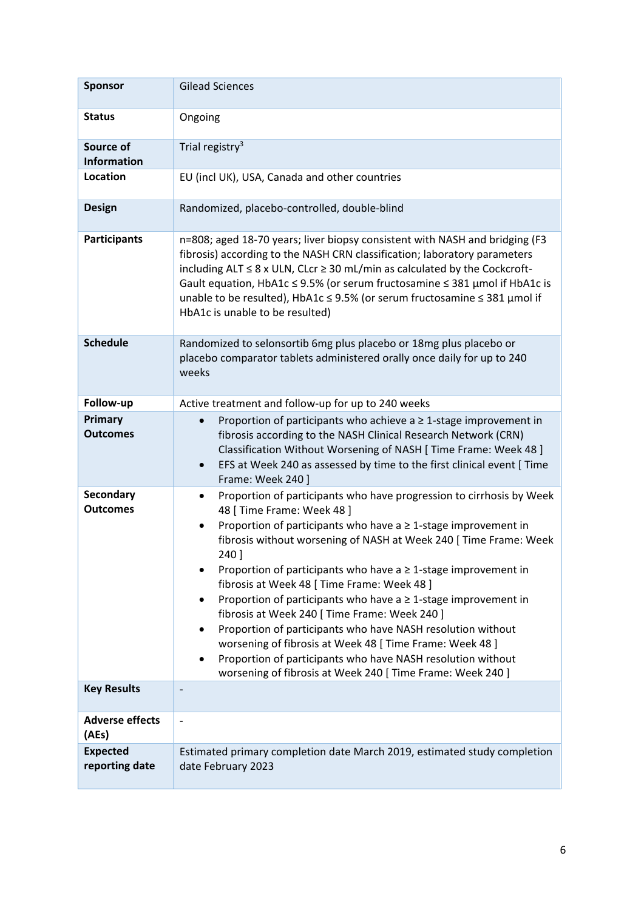| <b>Sponsor</b>                    | <b>Gilead Sciences</b>                                                                                                                                                                                                                                                                                                                                                                                                                                                                                                                                                                                                                                                                                                                                                                                 |  |
|-----------------------------------|--------------------------------------------------------------------------------------------------------------------------------------------------------------------------------------------------------------------------------------------------------------------------------------------------------------------------------------------------------------------------------------------------------------------------------------------------------------------------------------------------------------------------------------------------------------------------------------------------------------------------------------------------------------------------------------------------------------------------------------------------------------------------------------------------------|--|
| <b>Status</b>                     | Ongoing                                                                                                                                                                                                                                                                                                                                                                                                                                                                                                                                                                                                                                                                                                                                                                                                |  |
| Source of<br><b>Information</b>   | Trial registry <sup>3</sup>                                                                                                                                                                                                                                                                                                                                                                                                                                                                                                                                                                                                                                                                                                                                                                            |  |
| Location                          | EU (incl UK), USA, Canada and other countries                                                                                                                                                                                                                                                                                                                                                                                                                                                                                                                                                                                                                                                                                                                                                          |  |
| <b>Design</b>                     | Randomized, placebo-controlled, double-blind                                                                                                                                                                                                                                                                                                                                                                                                                                                                                                                                                                                                                                                                                                                                                           |  |
| <b>Participants</b>               | n=808; aged 18-70 years; liver biopsy consistent with NASH and bridging (F3<br>fibrosis) according to the NASH CRN classification; laboratory parameters<br>including $ALT \leq 8$ x ULN, CLcr $\geq 30$ mL/min as calculated by the Cockcroft-<br>Gault equation, HbA1c ≤ 9.5% (or serum fructosamine ≤ 381 µmol if HbA1c is<br>unable to be resulted), HbA1c ≤ 9.5% (or serum fructosamine ≤ 381 µmol if<br>HbA1c is unable to be resulted)                                                                                                                                                                                                                                                                                                                                                          |  |
| <b>Schedule</b>                   | Randomized to selonsortib 6mg plus placebo or 18mg plus placebo or<br>placebo comparator tablets administered orally once daily for up to 240<br>weeks                                                                                                                                                                                                                                                                                                                                                                                                                                                                                                                                                                                                                                                 |  |
| Follow-up                         | Active treatment and follow-up for up to 240 weeks                                                                                                                                                                                                                                                                                                                                                                                                                                                                                                                                                                                                                                                                                                                                                     |  |
| Primary<br><b>Outcomes</b>        | Proportion of participants who achieve $a \geq 1$ -stage improvement in<br>fibrosis according to the NASH Clinical Research Network (CRN)<br>Classification Without Worsening of NASH [ Time Frame: Week 48 ]<br>EFS at Week 240 as assessed by time to the first clinical event [ Time<br>$\bullet$<br>Frame: Week 240 ]                                                                                                                                                                                                                                                                                                                                                                                                                                                                              |  |
| Secondary<br><b>Outcomes</b>      | Proportion of participants who have progression to cirrhosis by Week<br>$\bullet$<br>48 [ Time Frame: Week 48 ]<br>Proportion of participants who have $a \ge 1$ -stage improvement in<br>$\bullet$<br>fibrosis without worsening of NASH at Week 240 [Time Frame: Week<br>240 ]<br>Proportion of participants who have $a \ge 1$ -stage improvement in<br>fibrosis at Week 48 [ Time Frame: Week 48 ]<br>Proportion of participants who have $a \ge 1$ -stage improvement in<br>$\bullet$<br>fibrosis at Week 240 [ Time Frame: Week 240 ]<br>Proportion of participants who have NASH resolution without<br>worsening of fibrosis at Week 48 [ Time Frame: Week 48 ]<br>Proportion of participants who have NASH resolution without<br>٠<br>worsening of fibrosis at Week 240 [Time Frame: Week 240] |  |
| <b>Key Results</b>                |                                                                                                                                                                                                                                                                                                                                                                                                                                                                                                                                                                                                                                                                                                                                                                                                        |  |
| <b>Adverse effects</b><br>(AEs)   |                                                                                                                                                                                                                                                                                                                                                                                                                                                                                                                                                                                                                                                                                                                                                                                                        |  |
| <b>Expected</b><br>reporting date | Estimated primary completion date March 2019, estimated study completion<br>date February 2023                                                                                                                                                                                                                                                                                                                                                                                                                                                                                                                                                                                                                                                                                                         |  |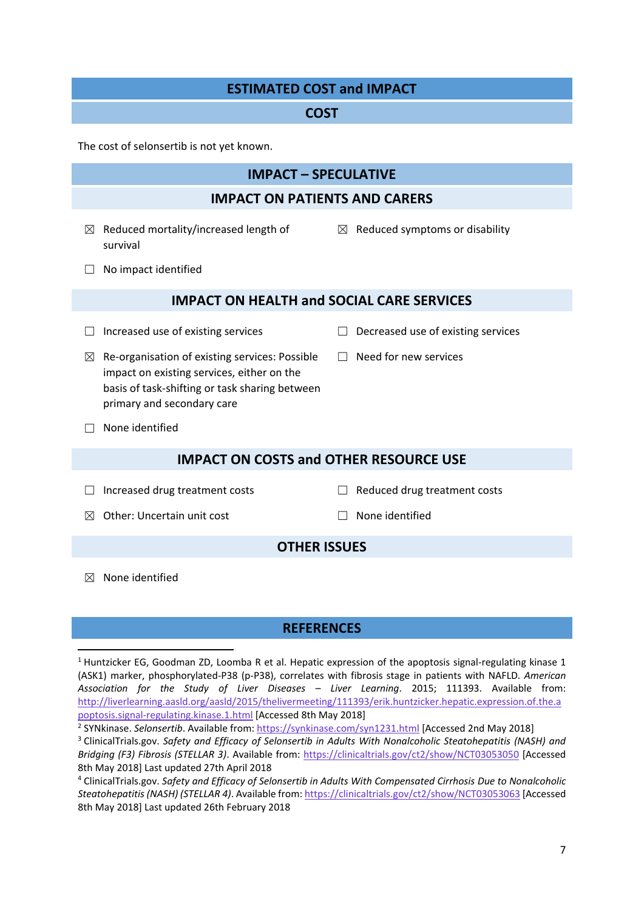## **ESTIMATED COST and IMPACT**

#### **COST**

The cost of selonsertib is not yet known.

## **IMPACT – SPECULATIVE**

#### **IMPACT ON PATIENTS AND CARERS**

 $\boxtimes$  Reduced mortality/increased length of survival

 $\boxtimes$  Reduced symptoms or disability

☐ No impact identified

#### **IMPACT ON HEALTH and SOCIAL CARE SERVICES**

- 
- ☐ Increased use of existing services ☐ Decreased use of existing services

□ Need for new services

- $\boxtimes$  Re-organisation of existing services: Possible impact on existing services, either on the basis of task-shifting or task sharing between primary and secondary care
- $\Box$  None identified

## **IMPACT ON COSTS and OTHER RESOURCE USE**

- ☐ Increased drug treatment costs ☐ Reduced drug treatment costs
	-

 $\boxtimes$  Other: Uncertain unit cost  $\Box$  None identified

#### **OTHER ISSUES**

 $<sup>8</sup>$  None identified</sup>

**.** 

#### **REFERENCES**

<sup>1</sup> Huntzicker EG, Goodman ZD, Loomba R et al. Hepatic expression of the apoptosis signal-regulating kinase 1 (ASK1) marker, phosphorylated-P38 (p-P38), correlates with fibrosis stage in patients with NAFLD*. American Association for the Study of Liver Diseases – Liver Learning*. 2015; 111393. Available from: [http://liverlearning.aasld.org/aasld/2015/thelivermeeting/111393/erik.huntzicker.hepatic.expression.of.the.a](http://liverlearning.aasld.org/aasld/2015/thelivermeeting/111393/erik.huntzicker.hepatic.expression.of.the.apoptosis.signal-regulating.kinase.1.html) [poptosis.signal-regulating.kinase.1.html](http://liverlearning.aasld.org/aasld/2015/thelivermeeting/111393/erik.huntzicker.hepatic.expression.of.the.apoptosis.signal-regulating.kinase.1.html) [Accessed 8th May 2018]

<sup>&</sup>lt;sup>2</sup> SYNkinase. Selonsertib. Available from[: https://synkinase.com/syn1231.html](https://synkinase.com/syn1231.html) [Accessed 2nd May 2018]

<sup>3</sup> ClinicalTrials.gov. *Safety and Efficacy of Selonsertib in Adults With Nonalcoholic Steatohepatitis (NASH) and Bridging (F3) Fibrosis (STELLAR 3)*. Available from:<https://clinicaltrials.gov/ct2/show/NCT03053050> [Accessed 8th May 2018] Last updated 27th April 2018

<sup>4</sup> ClinicalTrials.gov. *Safety and Efficacy of Selonsertib in Adults With Compensated Cirrhosis Due to Nonalcoholic Steatohepatitis (NASH) (STELLAR 4)*. Available from[: https://clinicaltrials.gov/ct2/show/NCT03053063](https://clinicaltrials.gov/ct2/show/NCT03053063) [Accessed 8th May 2018] Last updated 26th February 2018